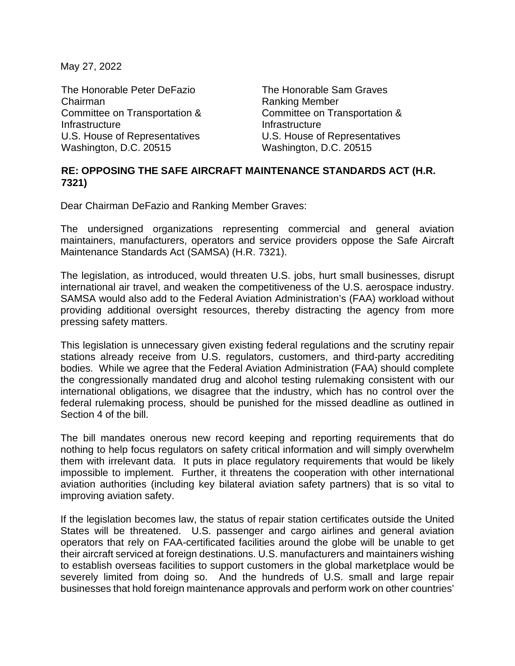May 27, 2022

The Honorable Peter DeFazio The Honorable Sam Graves Chairman **Ranking Member** Committee on Transportation & **Infrastructure** U.S. House of Representatives U.S. House of Representatives Washington, D.C. 20515 Washington, D.C. 20515

Committee on Transportation & **Infrastructure** 

## **RE: OPPOSING THE SAFE AIRCRAFT MAINTENANCE STANDARDS ACT (H.R. 7321)**

Dear Chairman DeFazio and Ranking Member Graves:

The undersigned organizations representing commercial and general aviation maintainers, manufacturers, operators and service providers oppose the Safe Aircraft Maintenance Standards Act (SAMSA) (H.R. 7321).

The legislation, as introduced, would threaten U.S. jobs, hurt small businesses, disrupt international air travel, and weaken the competitiveness of the U.S. aerospace industry. SAMSA would also add to the Federal Aviation Administration's (FAA) workload without providing additional oversight resources, thereby distracting the agency from more pressing safety matters.

This legislation is unnecessary given existing federal regulations and the scrutiny repair stations already receive from U.S. regulators, customers, and third-party accrediting bodies. While we agree that the Federal Aviation Administration (FAA) should complete the congressionally mandated drug and alcohol testing rulemaking consistent with our international obligations, we disagree that the industry, which has no control over the federal rulemaking process, should be punished for the missed deadline as outlined in Section 4 of the bill.

The bill mandates onerous new record keeping and reporting requirements that do nothing to help focus regulators on safety critical information and will simply overwhelm them with irrelevant data. It puts in place regulatory requirements that would be likely impossible to implement. Further, it threatens the cooperation with other international aviation authorities (including key bilateral aviation safety partners) that is so vital to improving aviation safety.

If the legislation becomes law, the status of repair station certificates outside the United States will be threatened. U.S. passenger and cargo airlines and general aviation operators that rely on FAA-certificated facilities around the globe will be unable to get their aircraft serviced at foreign destinations. U.S. manufacturers and maintainers wishing to establish overseas facilities to support customers in the global marketplace would be severely limited from doing so. And the hundreds of U.S. small and large repair businesses that hold foreign maintenance approvals and perform work on other countries'